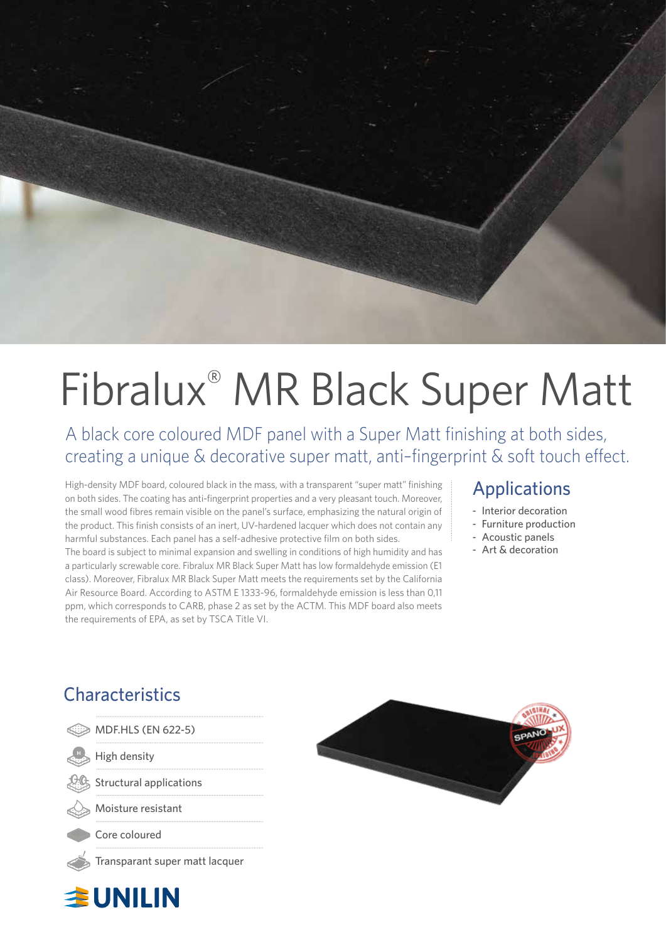

# Fibralux® MR Black Super Matt

A black core coloured MDF panel with a Super Matt finishing at both sides, creating a unique & decorative super matt, anti–fingerprint & soft touch effect.

High-density MDF board, coloured black in the mass, with a transparent "super matt" finishing on both sides. The coating has anti-fingerprint properties and a very pleasant touch. Moreover, the small wood fibres remain visible on the panel's surface, emphasizing the natural origin of the product. This finish consists of an inert, UV-hardened lacquer which does not contain any harmful substances. Each panel has a self-adhesive protective film on both sides.

The board is subject to minimal expansion and swelling in conditions of high humidity and has a particularly screwable core. Fibralux MR Black Super Matt has low formaldehyde emission (E1 class). Moreover, Fibralux MR Black Super Matt meets the requirements set by the California Air Resource Board. According to ASTM E 1333-96, formaldehyde emission is less than 0,11 ppm, which corresponds to CARB, phase 2 as set by the ACTM. This MDF board also meets the requirements of EPA, as set by TSCA Title VI.

## Applications

- Interior decoration
- Furniture production
- Acoustic panels
- Art & decoration

## **Characteristics**

主UNILIN

| MDF.HLS (EN 622-5)             |
|--------------------------------|
|                                |
| <b>Structural applications</b> |
| Moisture resistant             |
|                                |
|                                |
|                                |

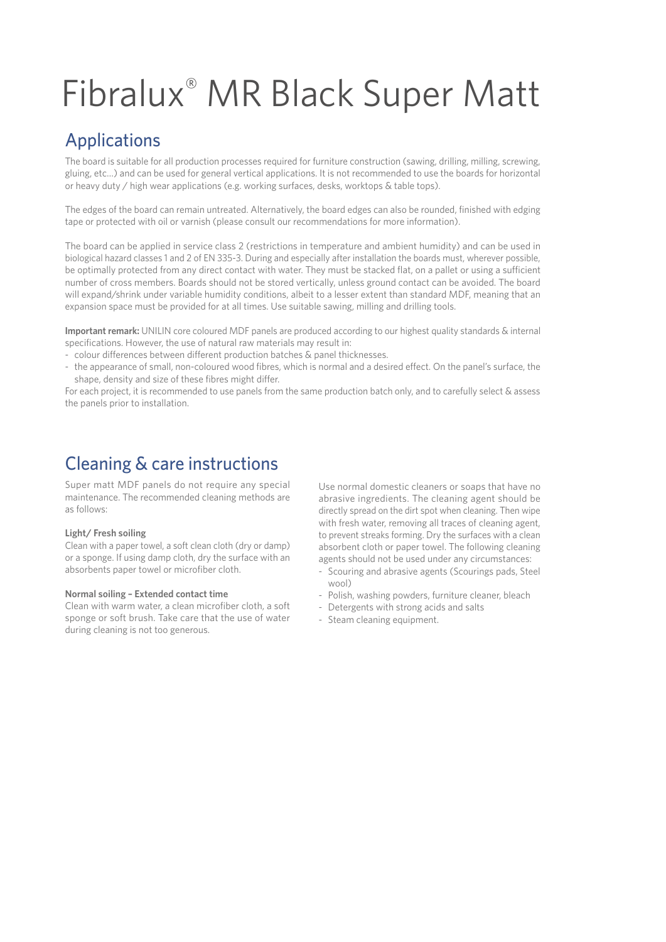## Fibralux® MR Black Super Matt

## Applications

The board is suitable for all production processes required for furniture construction (sawing, drilling, milling, screwing, gluing, etc…) and can be used for general vertical applications. It is not recommended to use the boards for horizontal or heavy duty / high wear applications (e.g. working surfaces, desks, worktops & table tops).

The edges of the board can remain untreated. Alternatively, the board edges can also be rounded, finished with edging tape or protected with oil or varnish (please consult our recommendations for more information).

The board can be applied in service class 2 (restrictions in temperature and ambient humidity) and can be used in biological hazard classes 1 and 2 of EN 335-3. During and especially after installation the boards must, wherever possible, be optimally protected from any direct contact with water. They must be stacked flat, on a pallet or using a sufficient number of cross members. Boards should not be stored vertically, unless ground contact can be avoided. The board will expand/shrink under variable humidity conditions, albeit to a lesser extent than standard MDF, meaning that an expansion space must be provided for at all times. Use suitable sawing, milling and drilling tools.

**Important remark:** UNILIN core coloured MDF panels are produced according to our highest quality standards & internal specifications. However, the use of natural raw materials may result in:

- colour differences between different production batches & panel thicknesses.
- the appearance of small, non-coloured wood fibres, which is normal and a desired effect. On the panel's surface, the shape, density and size of these fibres might differ.

For each project, it is recommended to use panels from the same production batch only, and to carefully select & assess the panels prior to installation.

## Cleaning & care instructions

Super matt MDF panels do not require any special maintenance. The recommended cleaning methods are as follows:

#### **Light/ Fresh soiling**

Clean with a paper towel, a soft clean cloth (dry or damp) or a sponge. If using damp cloth, dry the surface with an absorbents paper towel or microfiber cloth.

#### **Normal soiling – Extended contact time**

Clean with warm water, a clean microfiber cloth, a soft sponge or soft brush. Take care that the use of water during cleaning is not too generous.

Use normal domestic cleaners or soaps that have no abrasive ingredients. The cleaning agent should be directly spread on the dirt spot when cleaning. Then wipe with fresh water, removing all traces of cleaning agent, to prevent streaks forming. Dry the surfaces with a clean absorbent cloth or paper towel. The following cleaning agents should not be used under any circumstances:

- Scouring and abrasive agents (Scourings pads, Steel wool)
- Polish, washing powders, furniture cleaner, bleach
- Detergents with strong acids and salts
- Steam cleaning equipment.